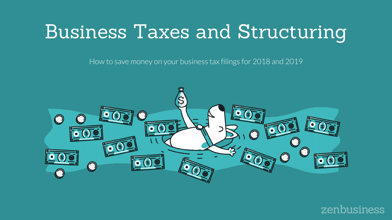# Business Taxes and Structuring

How to save money on your business tax filings for 2018 and 2019



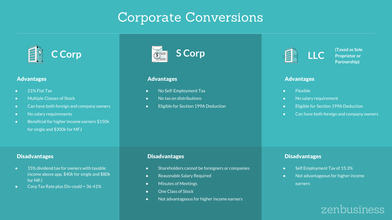## Corporate Conversions



#### **Advantages**

- 21% Flat Tax
- Multiple Classes of Stock
- Can have both foreign and company owners
- No salary requirements
- Beneficial for higher income earners \$150k for single and \$300k for MFJ

### **Disadvantages**

- 15% dividend tax for owners with taxable income above app. \$40k for single and \$80k for MFJ
- Corp Tax Rate plus Div could = 36-41%



### Advantages

- No Self-Employment Tax
- No tax on distributions
- Eligible for Section 199A Deduction



**(Taxed as Sole Proprietor or Partnership)**

#### **Advantages**

- Flexible
- No salary requirement
- Eligible for Section 199A Deduction
- Can have both foreign and company owners

### **Disadvantages**

- Shareholders cannot be foreigners or companies
- Reasonable Salary Required
- Minutes of Meetings
- One Class of Stock
- Not advantageous for higher income earners

### **Disadvantages**

- Self Employment Tax of 15.3%
- Not advantageous for higher income earners

## zenbusiness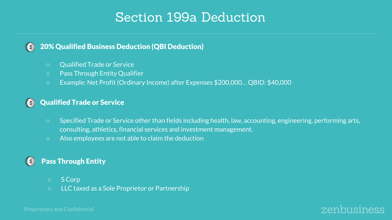## Section 199a Deduction

#### 20% Qualified Business Deduction (QBI Deduction)  $(s)$

- Qualified Trade or Service
- Pass Through Entity Qualifier
- Example: Net Profit (Ordinary Income) after Expenses \$200,000… QBID: \$40,000

#### Qualified Trade or Service  $(s)$

- Specified Trade or Service other than fields including health, law, accounting, engineering, performing arts, consulting, athletics, financial services and investment management.
- Also employees are not able to claim the deduction

## Pass Through Entity

- S Corp
- LLC taxed as a Sole Proprietor or Partnership



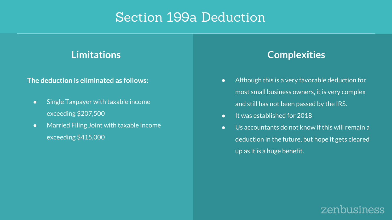## Section 199a Deduction

## **The deduction is eliminated as follows:**

- Single Taxpayer with taxable income exceeding \$207,500
- Married Filing Joint with taxable income exceeding \$415,000

## **Limitations Complexities**

- Although this is a very favorable deduction for most small business owners, it is very complex and still has not been passed by the IRS.
- It was established for 2018
- Us accountants do not know if this will remain a deduction in the future, but hope it gets cleared up as it is a huge benefit.

## zenbusiness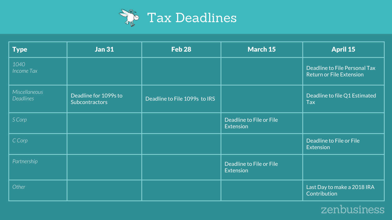

| <b>Type</b>                       | <b>Jan 31</b>                                  | Feb <sub>28</sub>             | <b>March 15</b>                              | <b>April 15</b>                                                  |
|-----------------------------------|------------------------------------------------|-------------------------------|----------------------------------------------|------------------------------------------------------------------|
| 1040<br>Income Tax                |                                                |                               |                                              | Deadline to File Personal Tax<br><b>Return or File Extension</b> |
| Miscellaneous<br><b>Deadlines</b> | Deadline for 1099s to<br><b>Subcontractors</b> | Deadline to File 1099s to IRS |                                              | Deadline to file Q1 Estimated<br><b>Tax</b>                      |
| S Corp                            |                                                |                               | Deadline to File or File<br><b>Extension</b> |                                                                  |
| C Corp                            |                                                |                               |                                              | Deadline to File or File<br><b>Extension</b>                     |
| Partnership                       |                                                |                               | Deadline to File or File<br>Extension        |                                                                  |
| Other                             |                                                |                               |                                              | Last Day to make a 2018 IRA<br>Contribution                      |

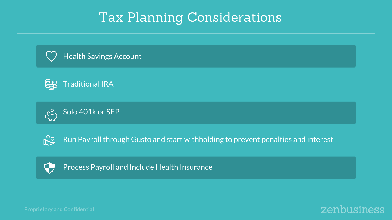# Tax Planning Considerations











Run Payroll through Gusto and start withholding to prevent penalties and interest



Process Payroll and Include Health Insurance



**Proprietary and Confidential**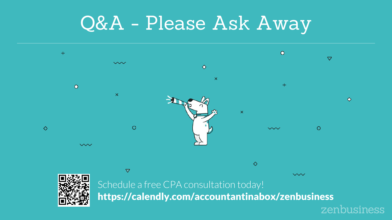# Q&A - Please Ask Away



zenbusiness